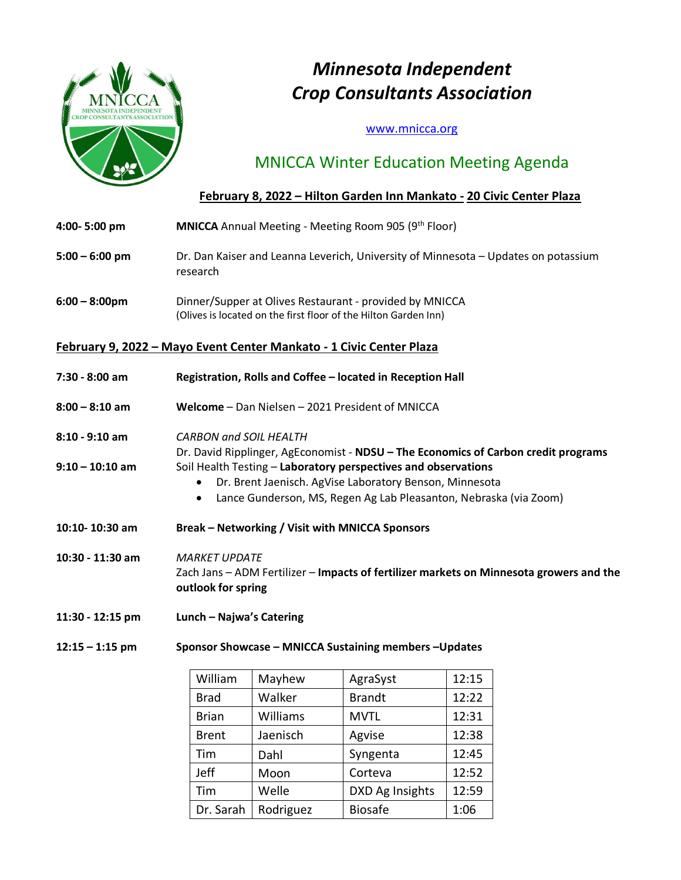

# *Minnesota Independent Crop Consultants Association*

### [www.mnicca.org](http://www.mnicca.org/)

## MNICCA Winter Education Meeting Agenda

### **February 8, 2022 – Hilton Garden Inn Mankato - 20 Civic Center Plaza**

- **4:00- 5:00 pm MNICCA** Annual Meeting Meeting Room 905 (9th Floor)
- **5:00 – 6:00 pm** Dr. Dan Kaiser and Leanna Leverich, University of Minnesota Updates on potassium research
- **6:00 – 8:00pm** Dinner/Supper at Olives Restaurant provided by MNICCA (Olives is located on the first floor of the Hilton Garden Inn)

### **February 9, 2022 – Mayo Event Center Mankato - 1 Civic Center Plaza**

| $7:30 - 8:00$ am   | Registration, Rolls and Coffee – located in Reception Hall                                                                                                                                     |
|--------------------|------------------------------------------------------------------------------------------------------------------------------------------------------------------------------------------------|
| $8:00 - 8:10$ am   | Welcome - Dan Nielsen - 2021 President of MNICCA                                                                                                                                               |
| $8:10 - 9:10$ am   | <b>CARBON and SOIL HEALTH</b><br>Dr. David Ripplinger, AgEconomist - NDSU – The Economics of Carbon credit programs                                                                            |
| $9:10 - 10:10$ am  | Soil Health Testing - Laboratory perspectives and observations<br>Dr. Brent Jaenisch. AgVise Laboratory Benson, Minnesota<br>Lance Gunderson, MS, Regen Ag Lab Pleasanton, Nebraska (via Zoom) |
| $10:10 - 10:30$ am | <b>Break – Networking / Visit with MNICCA Sponsors</b>                                                                                                                                         |
| 10:30 - 11:30 am   | <b>MARKET UPDATE</b><br>Zach Jans - ADM Fertilizer - Impacts of fertilizer markets on Minnesota growers and the<br>outlook for spring                                                          |
| 11:30 - 12:15 pm   | Lunch - Najwa's Catering                                                                                                                                                                       |
| $12:15 - 1:15$ pm  | Sponsor Showcase - MNICCA Sustaining members - Updates                                                                                                                                         |

| William      | Mayhew    | AgraSyst        | 12:15 |
|--------------|-----------|-----------------|-------|
| <b>Brad</b>  | Walker    | <b>Brandt</b>   | 12:22 |
| <b>Brian</b> | Williams  | <b>MVTL</b>     | 12:31 |
| <b>Brent</b> | Jaenisch  | Agvise          | 12:38 |
| Tim          | Dahl      | Syngenta        | 12:45 |
| Jeff         | Moon      | Corteva         | 12:52 |
| Tim          | Welle     | DXD Ag Insights | 12:59 |
| Dr. Sarah    | Rodriguez | <b>Biosafe</b>  | 1:06  |